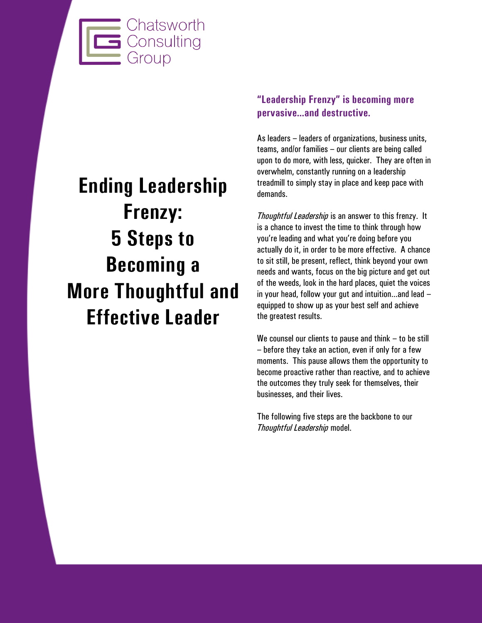

# **Ending Leadership Frenzy: 5 Steps to Becoming a More Thoughtful and Effective Leader**

# **"Leadership Frenzy" is becoming more pervasive…and destructive.**

As leaders – leaders of organizations, business units, teams, and/or families – our clients are being called upon to do more, with less, quicker. They are often in overwhelm, constantly running on a leadership treadmill to simply stay in place and keep pace with demands.

*Thoughtful Leadership* is an answer to this frenzy. It is a chance to invest the time to think through how you're leading and what you're doing before you actually do it, in order to be more effective. A chance to sit still, be present, reflect, think beyond your own needs and wants, focus on the big picture and get out of the weeds, look in the hard places, quiet the voices in your head, follow your gut and intuition…and lead – equipped to show up as your best self and achieve the greatest results.

We counsel our clients to pause and think – to be still – before they take an action, even if only for a few moments. This pause allows them the opportunity to become proactive rather than reactive, and to achieve the outcomes they truly seek for themselves, their businesses, and their lives.

The following five steps are the backbone to our *Thoughtful Leadership* model.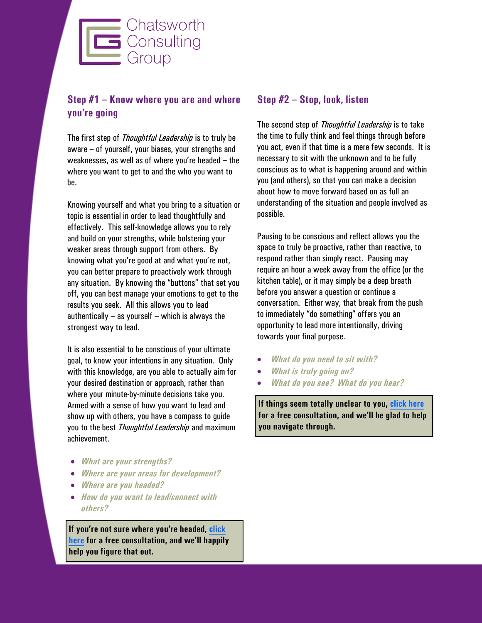

# **Step #1 – Know where you are and where you're going**

The first step of *Thoughtful Leadership* is to truly be aware – of yourself, your biases, your strengths and weaknesses, as well as of where you're headed – the where you want to get to and the who you want to be.

Knowing yourself and what you bring to a situation or topic is essential in order to lead thoughtfully and effectively. This self-knowledge allows you to rely and build on your strengths, while bolstering your weaker areas through support from others. By knowing what you're good at and what you're not, you can better prepare to proactively work through any situation. By knowing the "buttons" that set you off, you can best manage your emotions to get to the results you seek. All this allows you to lead authentically  $-$  as yourself  $-$  which is always the strongest way to lead.

It is also essential to be conscious of your ultimate goal, to know your intentions in any situation. Only with this knowledge, are you able to actually aim for your desired destination or approach, rather than where your minute-by-minute decisions take you. Armed with a sense of how you want to lead and show up with others, you have a compass to guide you to the best *Thoughtful Leadership* and maximum achievement.

- *What are your strengths?*
- *Where are your areas for development?*
- *Where are you headed?*
- *How do you want to lead/connect with others?*

**If you're not sure where you're headed, [click](mailto:info@chatsworthconsulting.com?subject=Chatsworth%20Consulting%20Group%20Free%20Consultation)  [here](mailto:info@chatsworthconsulting.com?subject=Chatsworth%20Consulting%20Group%20Free%20Consultation) for a free consultation, and we'll happily help you figure that out.**

#### **Step #2 – Stop, look, listen**

The second step of *Thoughtful Leadership* is to take the time to fully think and feel things through before you act, even if that time is a mere few seconds. It is necessary to sit with the unknown and to be fully conscious as to what is happening around and within you (and others), so that you can make a decision about how to move forward based on as full an understanding of the situation and people involved as possible.

Pausing to be conscious and reflect allows you the space to truly be proactive, rather than reactive, to respond rather than simply react. Pausing may require an hour a week away from the office (or the kitchen table), or it may simply be a deep breath before you answer a question or continue a conversation. Either way, that break from the push to immediately "do something" offers you an opportunity to lead more intentionally, driving towards your final purpose.

- *What do you need to sit with?*
- *What is truly going on?*
- *What do you see? What do you hear?*

**If things seem totally unclear to you, [click here](mailto:info@chatsworthconsulting.com?subject=Chatsworth%20Consulting%20Group%20Free%20Consultation) for a free consultation, and we'll be glad to help you navigate through.**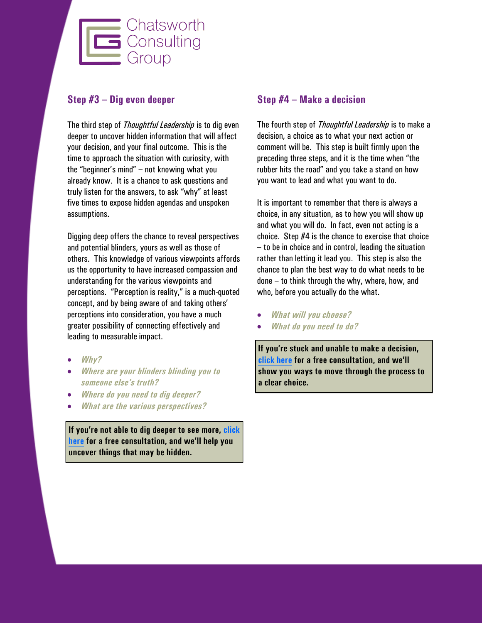

#### **Step #3 – Dig even deeper**

The third step of *Thoughtful Leadership* is to dig even deeper to uncover hidden information that will affect your decision, and your final outcome. This is the time to approach the situation with curiosity, with the "beginner's mind" – not knowing what you already know. It is a chance to ask questions and truly listen for the answers, to ask "why" at least five times to expose hidden agendas and unspoken assumptions.

Digging deep offers the chance to reveal perspectives and potential blinders, yours as well as those of others. This knowledge of various viewpoints affords us the opportunity to have increased compassion and understanding for the various viewpoints and perceptions. "Perception is reality," is a much-quoted concept, and by being aware of and taking others' perceptions into consideration, you have a much greater possibility of connecting effectively and leading to measurable impact.

- *Why?*
- *Where are your blinders blinding you to someone else's truth?*
- *Where do you need to dig deeper?*
- *What are the various perspectives?*

**If you're not able to dig deeper to see more, [click](mailto:info@chatsworthconsulting.com?subject=Chatsworth%20Consulting%20Group%20Free%20Consultation)  [here](mailto:info@chatsworthconsulting.com?subject=Chatsworth%20Consulting%20Group%20Free%20Consultation) for a free consultation, and we'll help you uncover things that may be hidden.**

#### **Step #4 – Make a decision**

The fourth step of *Thoughtful Leadership* is to make a decision, a choice as to what your next action or comment will be. This step is built firmly upon the preceding three steps, and it is the time when "the rubber hits the road" and you take a stand on how you want to lead and what you want to do.

It is important to remember that there is always a choice, in any situation, as to how you will show up and what you will do. In fact, even not acting is a choice. Step #4 is the chance to exercise that choice – to be in choice and in control, leading the situation rather than letting it lead you. This step is also the chance to plan the best way to do what needs to be done – to think through the why, where, how, and who, before you actually do the what.

- *What will you choose?*
- *What do you need to do?*

**If you're stuck and unable to make a decision, [click here](mailto:info@chatsworthconsulting.com?subject=Chatsworth%20Consulting%20Group%20Free%20Consultation) for a free consultation, and we'll show you ways to move through the process to a clear choice.**